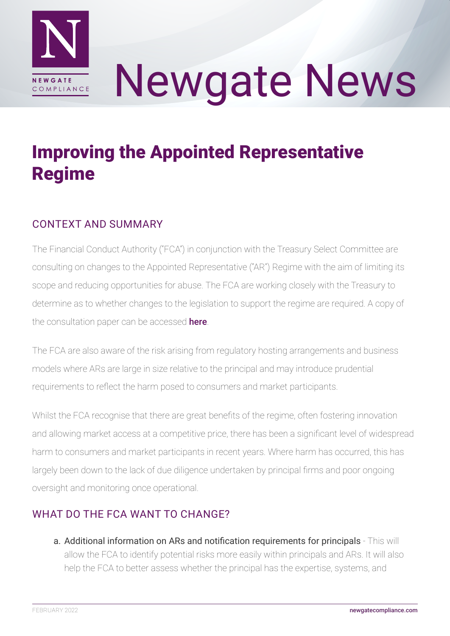

# Newgate News

## Improving the Appointed Representative Regime

#### CONTEXT AND SUMMARY

The Financial Conduct Authority ("FCA") in conjunction with the Treasury Select Committee are consulting on changes to the Appointed Representative ("AR") Regime with the aim of limiting its scope and reducing opportunities for abuse. The FCA are working closely with the Treasury to determine as to whether changes to the legislation to support the regime are required. A copy of the consultation paper can be accessed **[here](https://www.fca.org.uk/publication/consultation/cp21-34.pdf)**.

The FCA are also aware of the risk arising from regulatory hosting arrangements and business models where ARs are large in size relative to the principal and may introduce prudential requirements to reflect the harm posed to consumers and market participants.

Whilst the FCA recognise that there are great benefits of the regime, often fostering innovation and allowing market access at a competitive price, there has been a significant level of widespread harm to consumers and market participants in recent years. Where harm has occurred, this has largely been down to the lack of due diligence undertaken by principal firms and poor ongoing oversight and monitoring once operational.

#### WHAT DO THE FCA WANT TO CHANGE?

a. Additional information on ARs and notification requirements for principals - This will allow the FCA to identify potential risks more easily within principals and ARs. It will also help the FCA to better assess whether the principal has the expertise, systems, and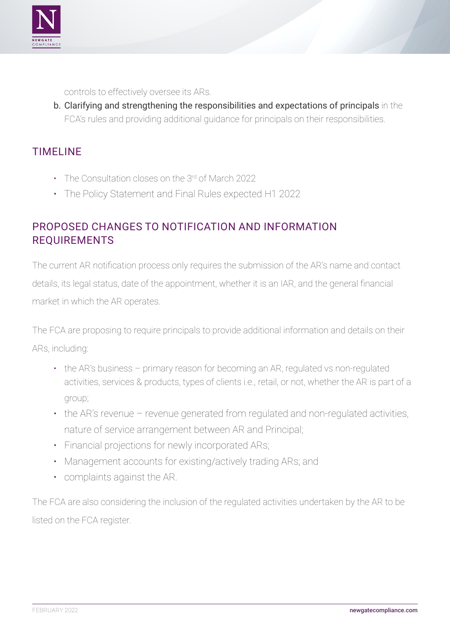

controls to effectively oversee its ARs.

b. Clarifying and strengthening the responsibilities and expectations of principals in the FCA's rules and providing additional guidance for principals on their responsibilities.

#### TIMELINE

- The Consultation closes on the 3rd of March 2022
- The Policy Statement and Final Rules expected H1 2022

#### PROPOSED CHANGES TO NOTIFICATION AND INFORMATION REQUIREMENTS

The current AR notification process only requires the submission of the AR's name and contact details, its legal status, date of the appointment, whether it is an IAR, and the general financial market in which the AR operates.

The FCA are proposing to require principals to provide additional information and details on their ARs, including:

- the AR's business primary reason for becoming an AR, regulated vs non-regulated activities, services & products, types of clients i.e., retail, or not, whether the AR is part of a group;
- the AR's revenue revenue generated from regulated and non-regulated activities, nature of service arrangement between AR and Principal;
- Financial projections for newly incorporated ARs;
- Management accounts for existing/actively trading ARs; and
- complaints against the AR.

The FCA are also considering the inclusion of the regulated activities undertaken by the AR to be listed on the FCA register.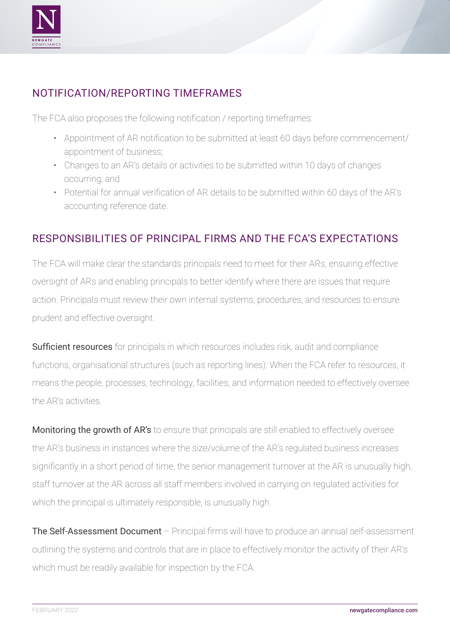

#### NOTIFICATION/REPORTING TIMEFRAMES

The FCA also proposes the following notification / reporting timeframes:

- Appointment of AR notification to be submitted at least 60 days before commencement/ appointment of business;
- Changes to an AR's details or activities to be submitted within 10 days of changes occurring; and
- Potential for annual verification of AR details to be submitted within 60 days of the AR's accounting reference date.

#### RESPONSIBILITIES OF PRINCIPAL FIRMS AND THE FCA'S EXPECTATIONS

The FCA will make clear the standards principals need to meet for their ARs, ensuring effective oversight of ARs and enabling principals to better identify where there are issues that require action. Principals must review their own internal systems, procedures, and resources to ensure prudent and effective oversight.

Sufficient resources for principals in which resources includes risk, audit and compliance functions, organisational structures (such as reporting lines). When the FCA refer to resources, it means the people, processes, technology, facilities, and information needed to effectively oversee the AR's activities.

Monitoring the growth of AR's to ensure that principals are still enabled to effectively oversee the AR's business in instances where the size/volume of the AR's regulated business increases significantly in a short period of time, the senior management turnover at the AR is unusually high, staff turnover at the AR across all staff members involved in carrying on regulated activities for which the principal is ultimately responsible, is unusually high.

The Self-Assessment Document – Principal firms will have to produce an annual self-assessment outlining the systems and controls that are in place to effectively monitor the activity of their AR's which must be readily available for inspection by the FCA.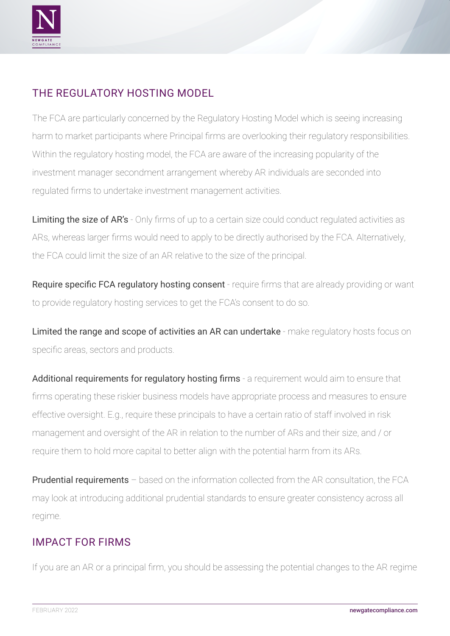

### THE REGULATORY HOSTING MODEL

The FCA are particularly concerned by the Regulatory Hosting Model which is seeing increasing harm to market participants where Principal firms are overlooking their regulatory responsibilities. Within the regulatory hosting model, the FCA are aware of the increasing popularity of the investment manager secondment arrangement whereby AR individuals are seconded into regulated firms to undertake investment management activities.

Limiting the size of AR's - Only firms of up to a certain size could conduct regulated activities as ARs, whereas larger firms would need to apply to be directly authorised by the FCA. Alternatively, the FCA could limit the size of an AR relative to the size of the principal.

Require specific FCA regulatory hosting consent - require firms that are already providing or want to provide regulatory hosting services to get the FCA's consent to do so.

Limited the range and scope of activities an AR can undertake - make regulatory hosts focus on specific areas, sectors and products.

Additional requirements for regulatory hosting firms - a requirement would aim to ensure that firms operating these riskier business models have appropriate process and measures to ensure effective oversight. E.g., require these principals to have a certain ratio of staff involved in risk management and oversight of the AR in relation to the number of ARs and their size, and / or require them to hold more capital to better align with the potential harm from its ARs.

Prudential requirements – based on the information collected from the AR consultation, the FCA may look at introducing additional prudential standards to ensure greater consistency across all regime.

#### IMPACT FOR FIRMS

If you are an AR or a principal firm, you should be assessing the potential changes to the AR regime